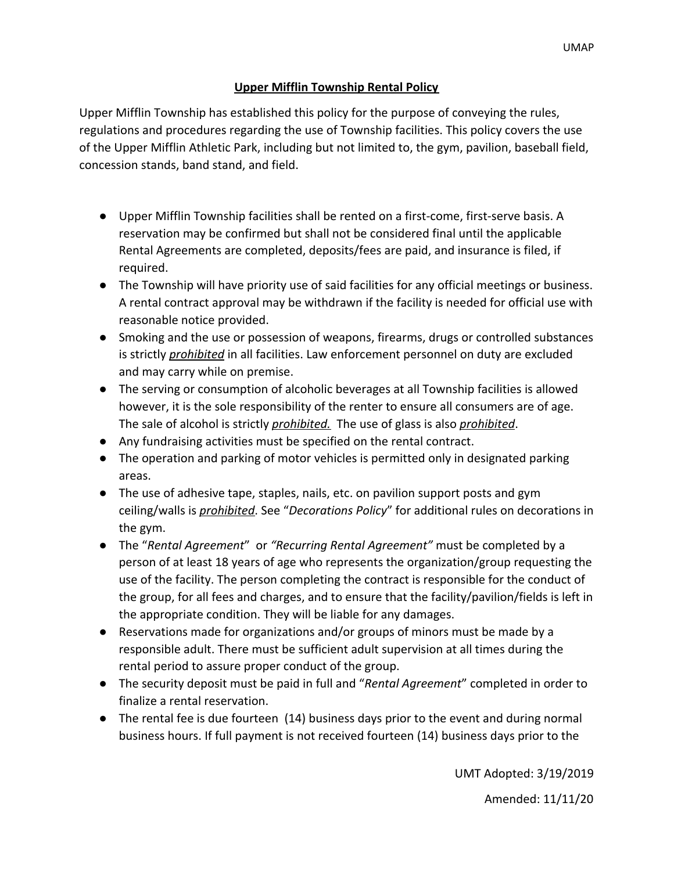## **Upper Mifflin Township Rental Policy**

Upper Mifflin Township has established this policy for the purpose of conveying the rules, regulations and procedures regarding the use of Township facilities. This policy covers the use of the Upper Mifflin Athletic Park, including but not limited to, the gym, pavilion, baseball field, concession stands, band stand, and field.

- Upper Mifflin Township facilities shall be rented on a first-come, first-serve basis. A reservation may be confirmed but shall not be considered final until the applicable Rental Agreements are completed, deposits/fees are paid, and insurance is filed, if required.
- The Township will have priority use of said facilities for any official meetings or business. A rental contract approval may be withdrawn if the facility is needed for official use with reasonable notice provided.
- Smoking and the use or possession of weapons, firearms, drugs or controlled substances is strictly *prohibited* in all facilities. Law enforcement personnel on duty are excluded and may carry while on premise.
- The serving or consumption of alcoholic beverages at all Township facilities is allowed however, it is the sole responsibility of the renter to ensure all consumers are of age. The sale of alcohol is strictly *prohibited.* The use of glass is also *prohibited*.
- Any fundraising activities must be specified on the rental contract.
- The operation and parking of motor vehicles is permitted only in designated parking areas.
- The use of adhesive tape, staples, nails, etc. on pavilion support posts and gym ceiling/walls is *prohibited*. See "*Decorations Policy*" for additional rules on decorations in the gym.
- The "*Rental Agreement*" or *"Recurring Rental Agreement"* must be completed by a person of at least 18 years of age who represents the organization/group requesting the use of the facility. The person completing the contract is responsible for the conduct of the group, for all fees and charges, and to ensure that the facility/pavilion/fields is left in the appropriate condition. They will be liable for any damages.
- Reservations made for organizations and/or groups of minors must be made by a responsible adult. There must be sufficient adult supervision at all times during the rental period to assure proper conduct of the group.
- The security deposit must be paid in full and "*Rental Agreement*" completed in order to finalize a rental reservation.
- The rental fee is due fourteen (14) business days prior to the event and during normal business hours. If full payment is not received fourteen (14) business days prior to the

UMT Adopted: 3/19/2019

Amended: 11/11/20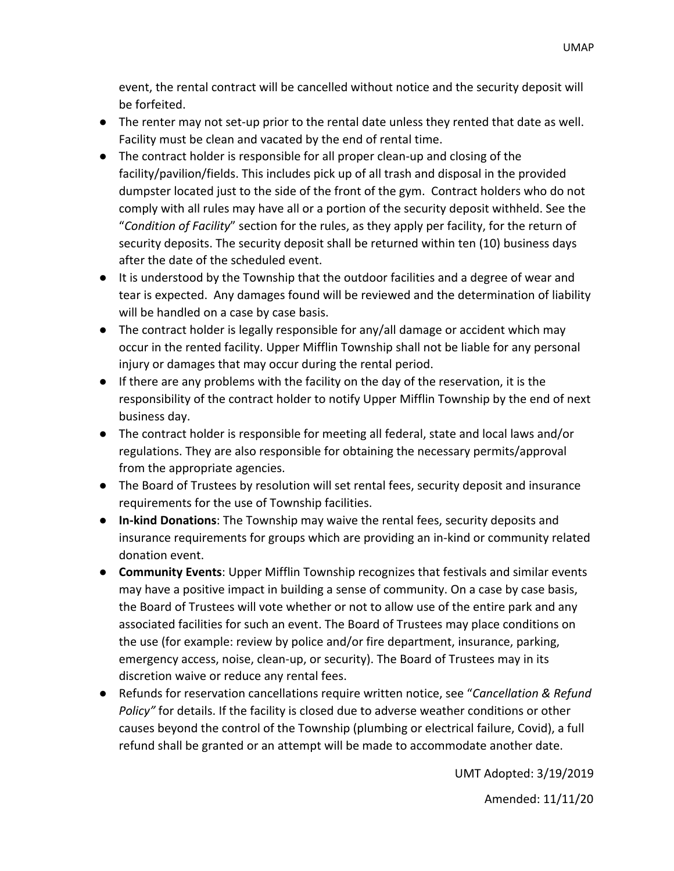event, the rental contract will be cancelled without notice and the security deposit will be forfeited.

- The renter may not set-up prior to the rental date unless they rented that date as well. Facility must be clean and vacated by the end of rental time.
- The contract holder is responsible for all proper clean-up and closing of the facility/pavilion/fields. This includes pick up of all trash and disposal in the provided dumpster located just to the side of the front of the gym. Contract holders who do not comply with all rules may have all or a portion of the security deposit withheld. See the "*Condition of Facility*" section for the rules, as they apply per facility, for the return of security deposits. The security deposit shall be returned within ten (10) business days after the date of the scheduled event.
- It is understood by the Township that the outdoor facilities and a degree of wear and tear is expected. Any damages found will be reviewed and the determination of liability will be handled on a case by case basis.
- The contract holder is legally responsible for any/all damage or accident which may occur in the rented facility. Upper Mifflin Township shall not be liable for any personal injury or damages that may occur during the rental period.
- If there are any problems with the facility on the day of the reservation, it is the responsibility of the contract holder to notify Upper Mifflin Township by the end of next business day.
- The contract holder is responsible for meeting all federal, state and local laws and/or regulations. They are also responsible for obtaining the necessary permits/approval from the appropriate agencies.
- The Board of Trustees by resolution will set rental fees, security deposit and insurance requirements for the use of Township facilities.
- **In-kind Donations**: The Township may waive the rental fees, security deposits and insurance requirements for groups which are providing an in-kind or community related donation event.
- **Community Events**: Upper Mifflin Township recognizes that festivals and similar events may have a positive impact in building a sense of community. On a case by case basis, the Board of Trustees will vote whether or not to allow use of the entire park and any associated facilities for such an event. The Board of Trustees may place conditions on the use (for example: review by police and/or fire department, insurance, parking, emergency access, noise, clean-up, or security). The Board of Trustees may in its discretion waive or reduce any rental fees.
- Refunds for reservation cancellations require written notice, see "*Cancellation & Refund Policy"* for details. If the facility is closed due to adverse weather conditions or other causes beyond the control of the Township (plumbing or electrical failure, Covid), a full refund shall be granted or an attempt will be made to accommodate another date.

UMT Adopted: 3/19/2019

Amended: 11/11/20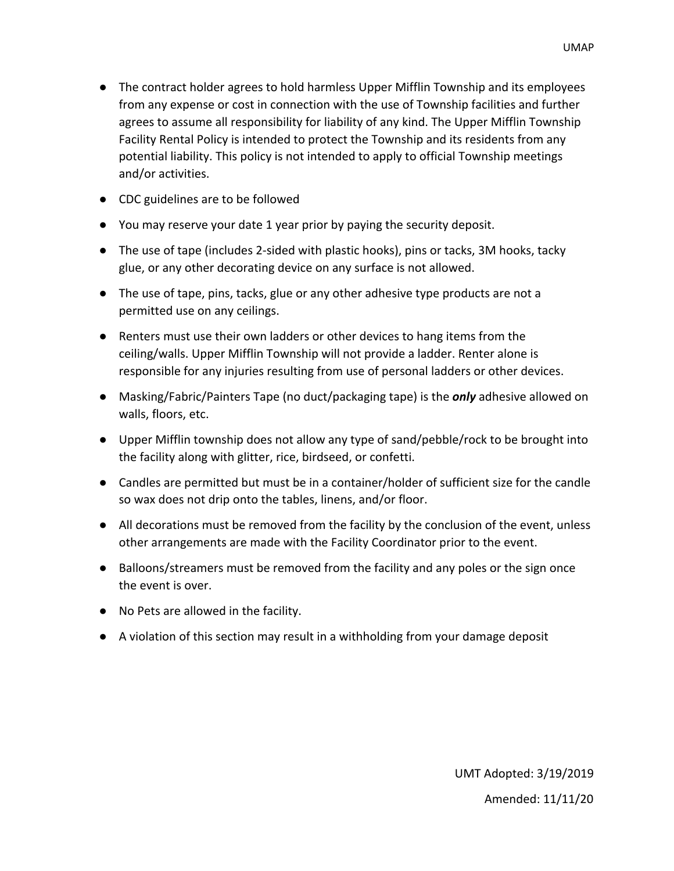- The contract holder agrees to hold harmless Upper Mifflin Township and its employees from any expense or cost in connection with the use of Township facilities and further agrees to assume all responsibility for liability of any kind. The Upper Mifflin Township Facility Rental Policy is intended to protect the Township and its residents from any potential liability. This policy is not intended to apply to official Township meetings and/or activities.
- CDC guidelines are to be followed
- You may reserve your date 1 year prior by paying the security deposit.
- The use of tape (includes 2-sided with plastic hooks), pins or tacks, 3M hooks, tacky glue, or any other decorating device on any surface is not allowed.
- The use of tape, pins, tacks, glue or any other adhesive type products are not a permitted use on any ceilings.
- Renters must use their own ladders or other devices to hang items from the ceiling/walls. Upper Mifflin Township will not provide a ladder. Renter alone is responsible for any injuries resulting from use of personal ladders or other devices.
- Masking/Fabric/Painters Tape (no duct/packaging tape) is the *only* adhesive allowed on walls, floors, etc.
- Upper Mifflin township does not allow any type of sand/pebble/rock to be brought into the facility along with glitter, rice, birdseed, or confetti.
- Candles are permitted but must be in a container/holder of sufficient size for the candle so wax does not drip onto the tables, linens, and/or floor.
- All decorations must be removed from the facility by the conclusion of the event, unless other arrangements are made with the Facility Coordinator prior to the event.
- Balloons/streamers must be removed from the facility and any poles or the sign once the event is over.
- No Pets are allowed in the facility.
- A violation of this section may result in a withholding from your damage deposit